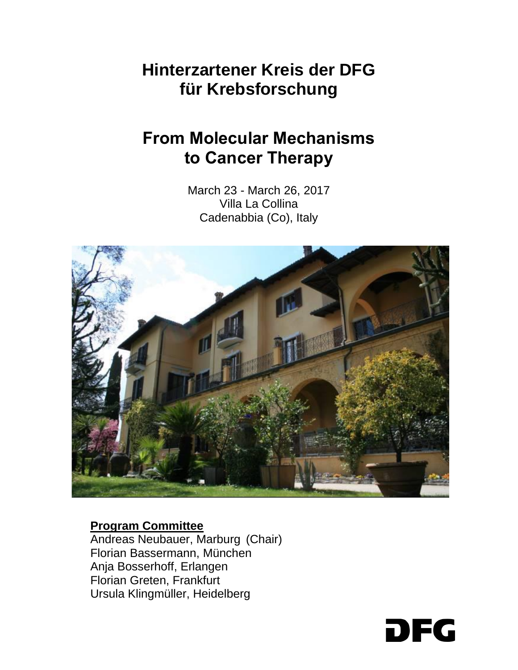# **Hinterzartener Kreis der DFG für Krebsforschung**

# **From Molecular Mechanisms to Cancer Therapy**

March 23 - March 26, 2017 Villa La Collina Cadenabbia (Co), Italy



#### **Program Committee**

Andreas Neubauer, Marburg (Chair) Florian Bassermann, München Anja Bosserhoff, Erlangen Florian Greten, Frankfurt Ursula Klingmüller, Heidelberg

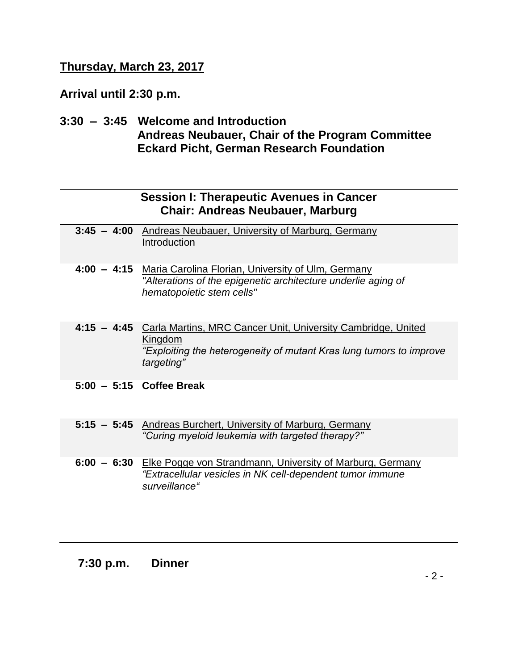# **Thursday, March 23, 2017**

**Arrival until 2:30 p.m.**

**3:30 – 3:45 Welcome and Introduction Andreas Neubauer, Chair of the Program Committee Eckard Picht, German Research Foundation**

|               | <b>Session I: Therapeutic Avenues in Cancer</b><br><b>Chair: Andreas Neubauer, Marburg</b>                                                                               |
|---------------|--------------------------------------------------------------------------------------------------------------------------------------------------------------------------|
| $3:45 - 4:00$ | <b>Andreas Neubauer, University of Marburg, Germany</b><br>Introduction                                                                                                  |
|               | 4:00 - 4:15 Maria Carolina Florian, University of Ulm, Germany<br>"Alterations of the epigenetic architecture underlie aging of<br>hematopoietic stem cells"             |
|               | 4:15 - 4:45 Carla Martins, MRC Cancer Unit, University Cambridge, United<br>Kingdom<br>"Exploiting the heterogeneity of mutant Kras lung tumors to improve<br>targeting" |
|               | $5:00 - 5:15$ Coffee Break                                                                                                                                               |
|               | 5:15 - 5:45 Andreas Burchert, University of Marburg, Germany<br>"Curing myeloid leukemia with targeted therapy?"                                                         |
|               | 6:00 - 6:30 Elke Pogge von Strandmann, University of Marburg, Germany<br>"Extracellular vesicles in NK cell-dependent tumor immune<br>surveillance"                      |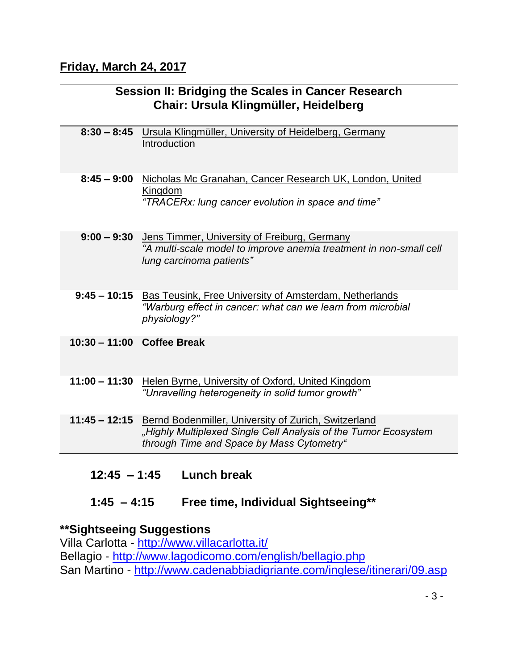## **Friday, March 24, 2017**

## **Session II: Bridging the Scales in Cancer Research Chair: Ursula Klingmüller, Heidelberg**

|                 | 8:30 - 8:45 Ursula Klingmüller, University of Heidelberg, Germany<br>Introduction                                                                                    |
|-----------------|----------------------------------------------------------------------------------------------------------------------------------------------------------------------|
| $8:45 - 9:00$   | Nicholas Mc Granahan, Cancer Research UK, London, United<br>Kingdom<br>"TRACERx: lung cancer evolution in space and time"                                            |
|                 | 9:00 - 9:30 Jens Timmer, University of Freiburg, Germany<br>"A multi-scale model to improve anemia treatment in non-small cell<br>lung carcinoma patients"           |
| $9:45 - 10:15$  | <b>Bas Teusink, Free University of Amsterdam, Netherlands</b><br>"Warburg effect in cancer: what can we learn from microbial<br>physiology?"                         |
|                 | 10:30 - 11:00 Coffee Break                                                                                                                                           |
| $11:00 - 11:30$ | Helen Byrne, University of Oxford, United Kingdom<br>"Unravelling heterogeneity in solid tumor growth"                                                               |
| $11:45 - 12:15$ | Bernd Bodenmiller, University of Zurich, Switzerland<br>"Highly Multiplexed Single Cell Analysis of the Tumor Ecosystem<br>through Time and Space by Mass Cytometry" |

**12:45 – 1:45 Lunch break**

## **1:45 – 4:15 Free time, Individual Sightseeing\*\***

## **\*\*Sightseeing Suggestions**

Villa Carlotta - <http://www.villacarlotta.it/> Bellagio - <http://www.lagodicomo.com/english/bellagio.php> San Martino - <http://www.cadenabbiadigriante.com/inglese/itinerari/09.asp>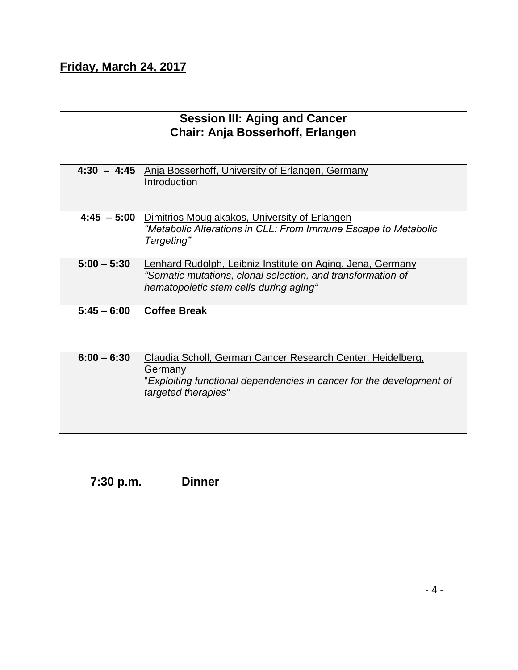# **Friday, March 24, 2017**

## **Session III: Aging and Cancer Chair: Anja Bosserhoff, Erlangen**

|               | 4:30 - 4:45 Anja Bosserhoff, University of Erlangen, Germany<br>Introduction                                                                                        |
|---------------|---------------------------------------------------------------------------------------------------------------------------------------------------------------------|
| $4:45 - 5:00$ | Dimitrios Mougiakakos, University of Erlangen<br>"Metabolic Alterations in CLL: From Immune Escape to Metabolic<br>Targeting"                                       |
| $5:00 - 5:30$ | Lenhard Rudolph, Leibniz Institute on Aging, Jena, Germany<br>"Somatic mutations, clonal selection, and transformation of<br>hematopoietic stem cells during aging" |
| $5:45 - 6:00$ | <b>Coffee Break</b>                                                                                                                                                 |
| $6:00 - 6:30$ | Claudia Scholl, German Cancer Research Center, Heidelberg,                                                                                                          |

**Germany** "*Exploiting functional dependencies in cancer for the development of targeted therapies"*

**7:30 p.m. Dinner**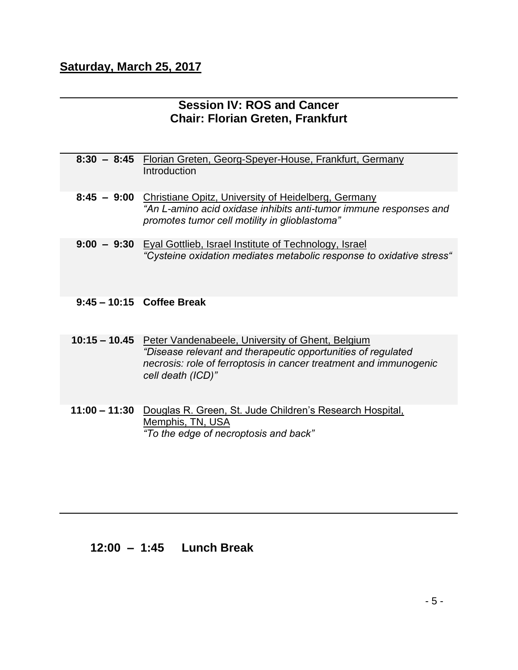## **Saturday, March 25, 2017**

#### **Session IV: ROS and Cancer Chair: Florian Greten, Frankfurt**

| 8:30 - 8:45 Florian Greten, Georg-Speyer-House, Frankfurt, Germany |
|--------------------------------------------------------------------|
| Introduction                                                       |
|                                                                    |

- **8:45 9:00** Christiane Opitz, University of Heidelberg, Germany *"An L-amino acid oxidase inhibits anti-tumor immune responses and promotes tumor cell motility in glioblastoma"*
- **9:00 9:30** Eyal Gottlieb, Israel Institute of Technology, Israel *"Cysteine oxidation mediates metabolic response to oxidative stress"*

**9:45 – 10:15 Coffee Break**

**10:15 – 10.45** Peter Vandenabeele, University of Ghent, Belgium *"Disease relevant and therapeutic opportunities of regulated necrosis: role of ferroptosis in cancer treatment and immunogenic cell death (ICD)"*

**11:00 – 11:30** Douglas R. Green, St. Jude Children's Research Hospital, Memphis, TN, USA *"To the edge of necroptosis and back"*

#### **12:00 – 1:45 Lunch Break**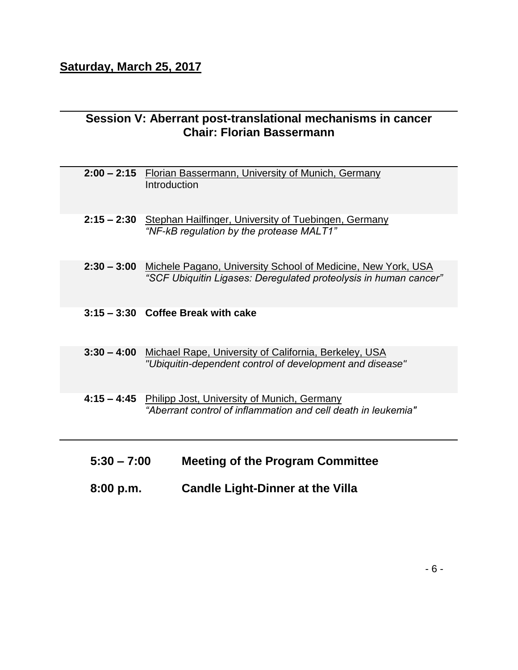## **Session V: Aberrant post-translational mechanisms in cancer Chair: Florian Bassermann**

| 8:00 p.m.     | <b>Candle Light-Dinner at the Villa</b>                                                                                          |
|---------------|----------------------------------------------------------------------------------------------------------------------------------|
| $5:30 - 7:00$ | <b>Meeting of the Program Committee</b>                                                                                          |
| $4:15 - 4:45$ | Philipp Jost, University of Munich, Germany<br>"Aberrant control of inflammation and cell death in leukemia"                     |
| $3:30 - 4:00$ | Michael Rape, University of California, Berkeley, USA<br>"Ubiquitin-dependent control of development and disease"                |
|               | $3:15 - 3:30$ Coffee Break with cake                                                                                             |
| $2:30 - 3:00$ | Michele Pagano, University School of Medicine, New York, USA<br>"SCF Ubiquitin Ligases: Deregulated proteolysis in human cancer" |
|               | 2:15 - 2:30 Stephan Hailfinger, University of Tuebingen, Germany<br>"NF-kB regulation by the protease MALT1"                     |
|               | 2:00 - 2:15 Florian Bassermann, University of Munich, Germany<br>Introduction                                                    |
|               |                                                                                                                                  |